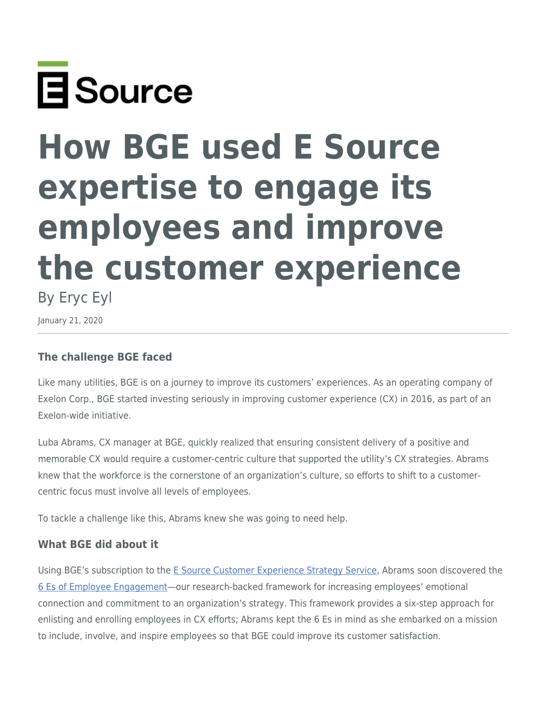

# **How BGE used E Source expertise to engage its employees and improve the customer experience**

By Eryc Eyl

January 21, 2020

# **The challenge BGE faced**

Like many utilities, BGE is on a journey to improve its customers' experiences. As an operating company of Exelon Corp., BGE started investing seriously in improving customer experience (CX) in 2016, as part of an Exelon-wide initiative.

Luba Abrams, CX manager at BGE, quickly realized that ensuring consistent delivery of a positive and memorable CX would require a customer-centric culture that supported the utility's CX strategies. Abrams knew that the workforce is the cornerstone of an organization's culture, so efforts to shift to a customercentric focus must involve all levels of employees.

To tackle a challenge like this, Abrams knew she was going to need help.

# **What BGE did about it**

Using BGE's subscription to the [E Source Customer Experience Strategy Service,](https://www.esource.com/cx-strategy-service-membership) Abrams soon discovered the [6 Es of Employee Engagement—](https://www.esource.com/128191fpwr/6-es-employee-engagement)our research-backed framework for increasing employees' emotional connection and commitment to an organization's strategy. This framework provides a six-step approach for enlisting and enrolling employees in CX efforts; Abrams kept the 6 Es in mind as she embarked on a mission to include, involve, and inspire employees so that BGE could improve its customer satisfaction.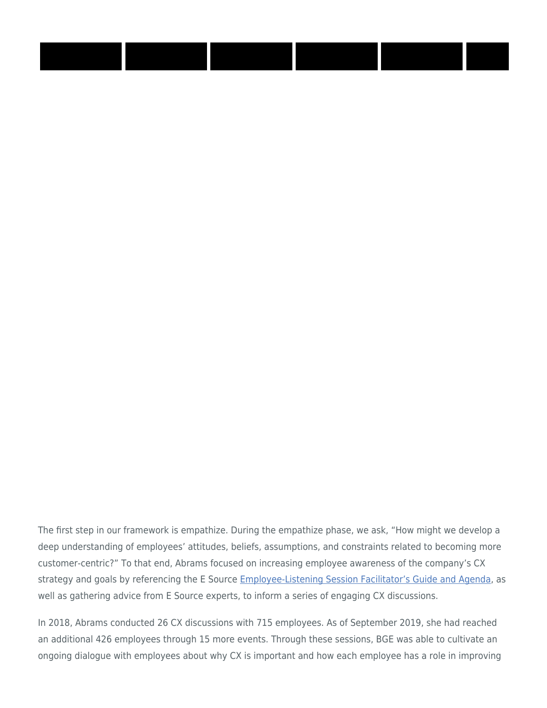The first step in our framework is empathize. During the empathize phase, we ask, "How might we develop a deep understanding of employees' attitudes, beliefs, assumptions, and constraints related to becoming more customer-centric?" To that end, Abrams focused on increasing employee awareness of the company's CX strategy and goals by referencing the E Source [Employee-Listening Session Facilitator's Guide and Agenda,](https://www.esource.com/cxs-tpl-1/employee-listening-session-facilitators-guide-and-agenda) as well as gathering advice from E Source experts, to inform a series of engaging CX discussions.

In 2018, Abrams conducted 26 CX discussions with 715 employees. As of September 2019, she had reached an additional 426 employees through 15 more events. Through these sessions, BGE was able to cultivate an ongoing dialogue with employees about why CX is important and how each employee has a role in improving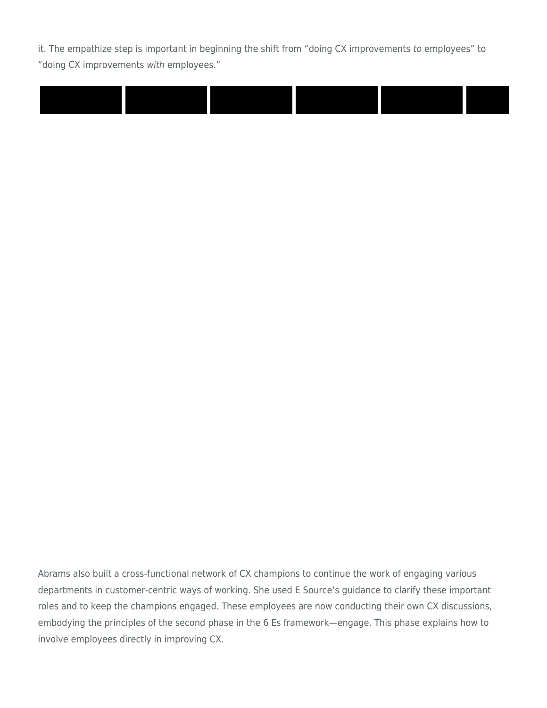it. The empathize step is important in beginning the shift from "doing CX improvements to employees" to "doing CX improvements with employees."



Abrams also built a cross-functional network of CX champions to continue the work of engaging various departments in customer-centric ways of working. She used E Source's guidance to clarify these important roles and to keep the champions engaged. These employees are now conducting their own CX discussions, embodying the principles of the second phase in the 6 Es framework—engage. This phase explains how to involve employees directly in improving CX.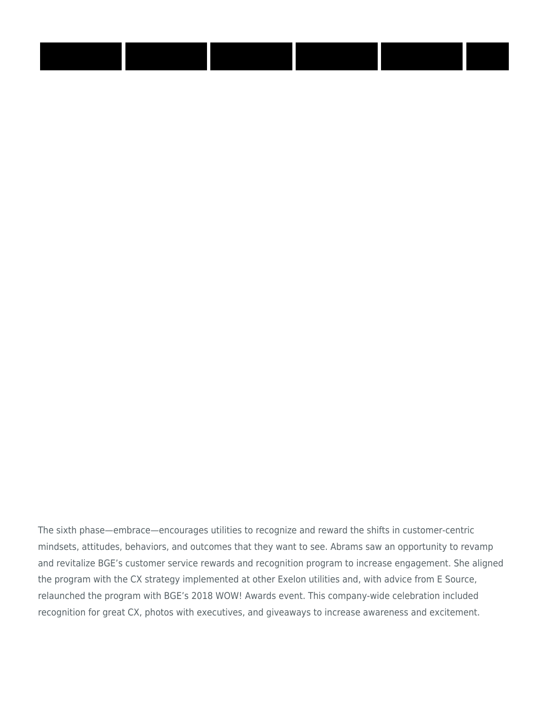The sixth phase—embrace—encourages utilities to recognize and reward the shifts in customer-centric mindsets, attitudes, behaviors, and outcomes that they want to see. Abrams saw an opportunity to revamp and revitalize BGE's customer service rewards and recognition program to increase engagement. She aligned the program with the CX strategy implemented at other Exelon utilities and, with advice from E Source, relaunched the program with BGE's 2018 WOW! Awards event. This company-wide celebration included recognition for great CX, photos with executives, and giveaways to increase awareness and excitement.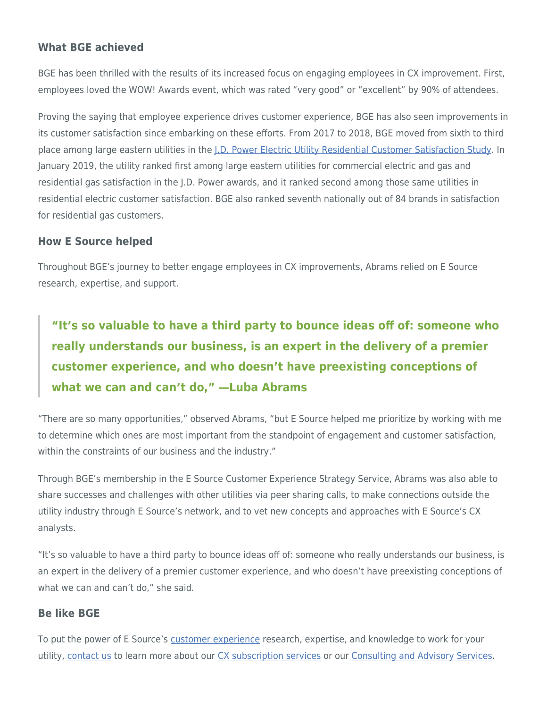### **What BGE achieved**

BGE has been thrilled with the results of its increased focus on engaging employees in CX improvement. First, employees loved the WOW! Awards event, which was rated "very good" or "excellent" by 90% of attendees.

Proving the saying that employee experience drives customer experience, BGE has also seen improvements in its customer satisfaction since embarking on these efforts. From 2017 to 2018, BGE moved from sixth to third place among large eastern utilities in the [J.D. Power Electric Utility Residential Customer Satisfaction Study](https://www.jdpower.com/business/resource/electric-utility-residential-customer-satisfaction-study). In January 2019, the utility ranked first among large eastern utilities for commercial electric and gas and residential gas satisfaction in the J.D. Power awards, and it ranked second among those same utilities in residential electric customer satisfaction. BGE also ranked seventh nationally out of 84 brands in satisfaction for residential gas customers.

#### **How E Source helped**

Throughout BGE's journey to better engage employees in CX improvements, Abrams relied on E Source research, expertise, and support.

**"It's so valuable to have a third party to bounce ideas off of: someone who really understands our business, is an expert in the delivery of a premier customer experience, and who doesn't have preexisting conceptions of what we can and can't do," —Luba Abrams**

"There are so many opportunities," observed Abrams, "but E Source helped me prioritize by working with me to determine which ones are most important from the standpoint of engagement and customer satisfaction, within the constraints of our business and the industry."

Through BGE's membership in the E Source Customer Experience Strategy Service, Abrams was also able to share successes and challenges with other utilities via peer sharing calls, to make connections outside the utility industry through E Source's network, and to vet new concepts and approaches with E Source's CX analysts.

"It's so valuable to have a third party to bounce ideas off of: someone who really understands our business, is an expert in the delivery of a premier customer experience, and who doesn't have preexisting conceptions of what we can and can't do," she said.

#### **Be like BGE**

To put the power of E Source's [customer experience](https://www.esource.com/customer-experience-transformation) research, expertise, and knowledge to work for your utility, [contact us](https://www.esource.com/contact_customer_service?subject=Contact%20us:%20Membership) to learn more about our [CX subscription services](https://www.esource.com/cx-strategy-service-membership) or our [Consulting and Advisory Services](https://www.esource.com/consulting).